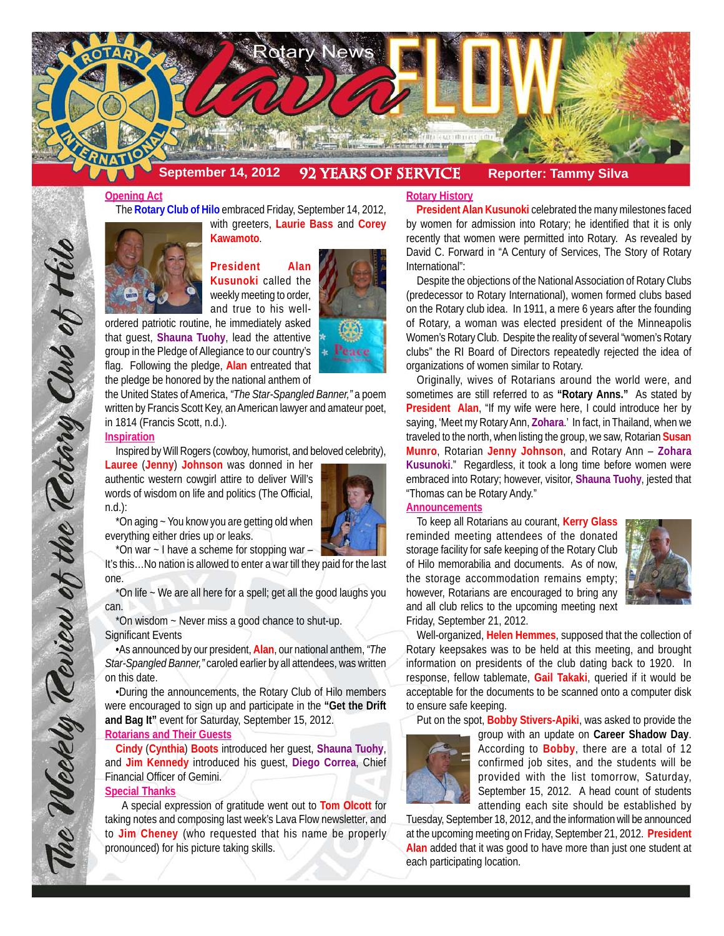

## **Opening Act**

The **Rotary Club of Hilo** embraced Friday, September 14, 2012,



**President Alan Kusunoki** called the weekly meeting to order, and true to his well-

ordered patriotic routine, he immediately asked that guest, **Shauna Tuohy**, lead the attentive group in the Pledge of Allegiance to our country's flag. Following the pledge, **Alan** entreated that the pledge be honored by the national anthem of

the United States of America, *"The Star-Spangled Banner,"* a poem written by Francis Scott Key, an American lawyer and amateur poet, in 1814 (Francis Scott, n.d.).

## **Inspiration**

The Weekly Teview of the Tetary Club of Hilo

Inspired by Will Rogers (cowboy, humorist, and beloved celebrity),

**Lauree** (**Jenny**) **Johnson** was donned in her authentic western cowgirl attire to deliver Will's words of wisdom on life and politics (The Official, n.d.):



- Peace

\*On aging ~ You know you are getting old when everything either dries up or leaks.

\*On war ~ I have a scheme for stopping war – It's this…No nation is allowed to enter a war till they paid for the last one.

\*On life ~ We are all here for a spell; get all the good laughs you can.

\*On wisdom ~ Never miss a good chance to shut-up. Significant Events

•As announced by our president, **Alan**, our national anthem, *"The Star-Spangled Banner,"* caroled earlier by all attendees, was written on this date.

•During the announcements, the Rotary Club of Hilo members were encouraged to sign up and participate in the **"Get the Drift and Bag It"** event for Saturday, September 15, 2012.

# **Rotarians and Their Guests**

**Cindy** (**Cynthia**) **Boots** introduced her guest, **Shauna Tuohy**, and **Jim Kennedy** introduced his guest, **Diego Correa**, Chief Financial Officer of Gemini.

## **Special Thanks**

 A special expression of gratitude went out to **Tom Olcott** for taking notes and composing last week's Lava Flow newsletter, and to **Jim Cheney** (who requested that his name be properly pronounced) for his picture taking skills.

## **Rotary History**

 **President Alan Kusunoki** celebrated the many milestones faced by women for admission into Rotary; he identified that it is only recently that women were permitted into Rotary. As revealed by David C. Forward in "A Century of Services, The Story of Rotary International":

Despite the objections of the National Association of Rotary Clubs (predecessor to Rotary International), women formed clubs based on the Rotary club idea. In 1911, a mere 6 years after the founding of Rotary, a woman was elected president of the Minneapolis Women's Rotary Club. Despite the reality of several "women's Rotary clubs" the RI Board of Directors repeatedly rejected the idea of organizations of women similar to Rotary.

Originally, wives of Rotarians around the world were, and sometimes are still referred to as **"Rotary Anns."** As stated by **President Alan**, "If my wife were here, I could introduce her by saying, 'Meet my Rotary Ann, **Zohara**.' In fact, in Thailand, when we traveled to the north, when listing the group, we saw, Rotarian **Susan Munro**, Rotarian **Jenny Johnson**, and Rotary Ann – **Zohara Kusunoki**." Regardless, it took a long time before women were embraced into Rotary; however, visitor, **Shauna Tuohy**, jested that "Thomas can be Rotary Andy."

#### **Announcements**

To keep all Rotarians au courant, **Kerry Glass** reminded meeting attendees of the donated storage facility for safe keeping of the Rotary Club of Hilo memorabilia and documents. As of now, the storage accommodation remains empty; however, Rotarians are encouraged to bring any and all club relics to the upcoming meeting next Friday, September 21, 2012.



Well-organized, **Helen Hemmes**, supposed that the collection of Rotary keepsakes was to be held at this meeting, and brought information on presidents of the club dating back to 1920. In response, fellow tablemate, **Gail Takaki**, queried if it would be acceptable for the documents to be scanned onto a computer disk to ensure safe keeping.

Put on the spot, **Bobby Stivers-Apiki**, was asked to provide the



group with an update on **Career Shadow Day**. According to **Bobby**, there are a total of 12 confirmed job sites, and the students will be provided with the list tomorrow, Saturday, September 15, 2012. A head count of students attending each site should be established by

Tuesday, September 18, 2012, and the information will be announced at the upcoming meeting on Friday, September 21, 2012. **President Alan** added that it was good to have more than just one student at each participating location.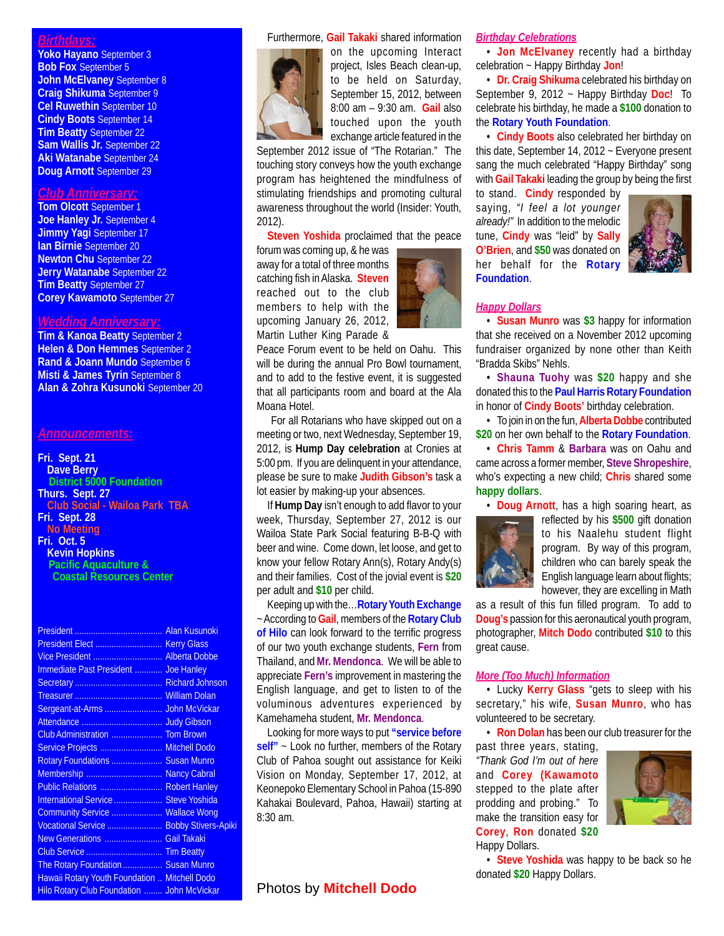## *Birthdays:*

**Yoko Hayano** September 3 **Bob Fox** September 5 **John McElvaney** September 8 **Craig Shikuma** September 9 **Cel Ruwethin** September 10 **Cindy Boots** September 14 **Tim Beatty** September 22 **Sam Wallis Jr.** September 22 **Aki Watanabe** September 24 **Doug Arnott** September 29

# *Club Anniversary:*

**Tom Olcott** September 1 **Joe Hanley Jr.** September 4 **Jimmy Yagi** September 17 **Ian Birnie** September 20 **Newton Chu** September 22 **Jerry Watanabe** September 22 **Tim Beatty** September 27 **Corey Kawamoto** September 27

#### *Wedding Anniversary:*

**Tim & Kanoa Beatty** September 2 **Helen & Don Hemmes** September 2 **Rand & Joann Mundo** September 6 **Misti & James Tyrin** September 8 **Alan & Zohra Kusunoki** September 20

#### *Announcements:*

**Fri. Sept. 21 Dave Berry District 5000 Foundation Thurs. Sept. 27 Club Social - Wailoa Park TBA Fri. Sept. 28 No Meeting Fri. Oct. 5**

**Kevin Hopkins Pacific Aquaculture & Coastal Resources Center**

| Immediate Past President  Joe Hanley              |  |
|---------------------------------------------------|--|
|                                                   |  |
|                                                   |  |
|                                                   |  |
|                                                   |  |
| Club Administration  Tom Brown                    |  |
| Service Projects  Mitchell Dodo                   |  |
| Rotary Foundations  Susan Munro                   |  |
| Membership  Nancy Cabral                          |  |
| Public Relations  Robert Hanley                   |  |
| International Service  Steve Yoshida              |  |
| Community Service  Wallace Wong                   |  |
| Vocational Service  Bobby Stivers-Apiki           |  |
| New Generations  Gail Takaki                      |  |
|                                                   |  |
| The Rotary Foundation  Susan Munro                |  |
| Hawaii Rotary Youth Foundation  Mitchell Dodo     |  |
| <b>Hilo Rotary Club Foundation  John McVickar</b> |  |
|                                                   |  |

#### Furthermore, **Gail Takaki** shared information



on the upcoming Interact project, Isles Beach clean-up, to be held on Saturday, September 15, 2012, between 8:00 am – 9:30 am. **Gail** also touched upon the youth exchange article featured in the

September 2012 issue of "The Rotarian." The touching story conveys how the youth exchange program has heightened the mindfulness of stimulating friendships and promoting cultural awareness throughout the world (Insider: Youth, 2012).

**Steven Yoshida** proclaimed that the peace

forum was coming up, & he was away for a total of three months catching fish in Alaska. **Steven** reached out to the club members to help with the upcoming January 26, 2012, Martin Luther King Parade &



 For all Rotarians who have skipped out on a meeting or two, next Wednesday, September 19, 2012, is **Hump Day celebration** at Cronies at 5:00 pm. If you are delinquent in your attendance, please be sure to make **Judith Gibson's** task a lot easier by making-up your absences.

If **Hump Day** isn't enough to add flavor to your week, Thursday, September 27, 2012 is our Wailoa State Park Social featuring B-B-Q with beer and wine. Come down, let loose, and get to know your fellow Rotary Ann(s), Rotary Andy(s) and their families. Cost of the jovial event is **\$20** per adult and **\$10** per child.

Keeping up with the…**Rotary Youth Exchange** ~ According to **Gail**, members of the **Rotary Club of Hilo** can look forward to the terrific progress of our two youth exchange students, **Fern** from Thailand, and **Mr. Mendonca**. We will be able to appreciate **Fern's** improvement in mastering the English language, and get to listen to of the voluminous adventures experienced by Kamehameha student, **Mr. Mendonca**.

Looking for more ways to put **"service before self"** ~ Look no further, members of the Rotary Club of Pahoa sought out assistance for Keiki Vision on Monday, September 17, 2012, at Keonepoko Elementary School in Pahoa (15-890 Kahakai Boulevard, Pahoa, Hawaii) starting at 8:30 am.

## **Photos by Mitchell Dodo**

#### *Birthday Celebrations*

• **Jon McElvaney** recently had a birthday celebration ~ Happy Birthday **Jon**!

• **Dr. Craig Shikuma** celebrated his birthday on September 9, 2012 ~ Happy Birthday **Doc**! To celebrate his birthday, he made a **\$100** donation to the **Rotary Youth Foundation**.

• **Cindy Boots** also celebrated her birthday on this date, September 14, 2012 ~ Everyone present sang the much celebrated "Happy Birthday" song with **Gail Takaki** leading the group by being the first

to stand. **Cindy** responded by saying, *"I feel a lot younger already!"* In addition to the melodic tune, **Cindy** was "leid" by **Sally O'Brien**, and **\$50** was donated on her behalf for the **Rotary Foundation**.



#### *Happy Dollars*

• **Susan Munro** was **\$3** happy for information that she received on a November 2012 upcoming fundraiser organized by none other than Keith "Bradda Skibs" Nehls.

• **Shauna Tuohy** was **\$20** happy and she donated this to the **Paul Harris Rotary Foundation** in honor of **Cindy Boots'** birthday celebration.

• To join in on the fun, **Alberta Dobbe** contributed **\$20** on her own behalf to the **Rotary Foundation**.

• **Chris Tamm** & **Barbara** was on Oahu and came across a former member, **Steve Shropeshire**, who's expecting a new child; **Chris** shared some **happy dollars**.

• **Doug Arnott**, has a high soaring heart, as



reflected by his **\$500** gift donation to his Naalehu student flight program. By way of this program, children who can barely speak the English language learn about flights; however, they are excelling in Math

as a result of this fun filled program. To add to **Doug's** passion for this aeronautical youth program, photographer, **Mitch Dodo** contributed **\$10** to this great cause.

#### *More (Too Much) Information*

• Lucky **Kerry Glass** "gets to sleep with his secretary," his wife, **Susan Munro**, who has volunteered to be secretary.

• **Ron Dolan** has been our club treasurer for the

past three years, stating, *"Thank God I'm out of here* and **Corey (Kawamoto** stepped to the plate after prodding and probing." To make the transition easy for **Corey**, **Ron** donated **\$20** Happy Dollars.



• **Steve Yoshida** was happy to be back so he donated **\$20** Happy Dollars.